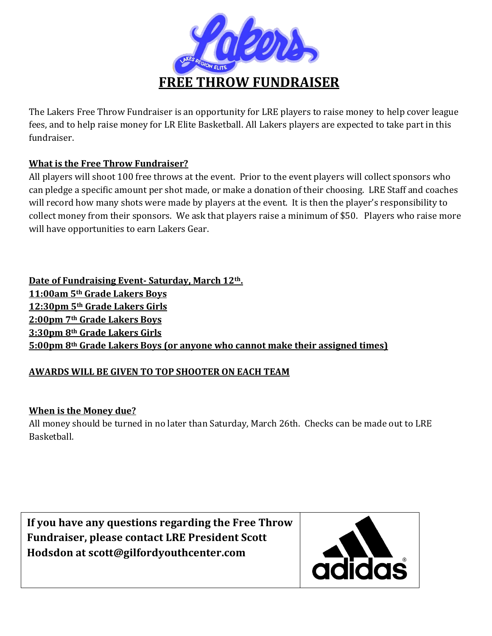

The Lakers Free Throw Fundraiser is an opportunity for LRE players to raise money to help cover league fees, and to help raise money for LR Elite Basketball. All Lakers players are expected to take part in this fundraiser.

## **What is the Free Throw Fundraiser?**

All players will shoot 100 free throws at the event. Prior to the event players will collect sponsors who can pledge a specific amount per shot made, or make a donation of their choosing. LRE Staff and coaches will record how many shots were made by players at the event. It is then the player's responsibility to collect money from their sponsors. We ask that players raise a minimum of \$50. Players who raise more will have opportunities to earn Lakers Gear.

**Date of Fundraising Event- Saturday, March 12th. 11:00am 5th Grade Lakers Boys 12:30pm 5th Grade Lakers Girls 2:00pm 7th Grade Lakers Boys 3:30pm 8th Grade Lakers Girls 5:00pm 8th Grade Lakers Boys (or anyone who cannot make their assigned times)**

# **AWARDS WILL BE GIVEN TO TOP SHOOTER ON EACH TEAM**

### **When is the Money due?**

All money should be turned in no later than Saturday, March 26th. Checks can be made out to LRE Basketball.

**If you have any questions regarding the Free Throw Fundraiser, please contact LRE President Scott Hodsdon at scott@gilfordyouthcenter.com**